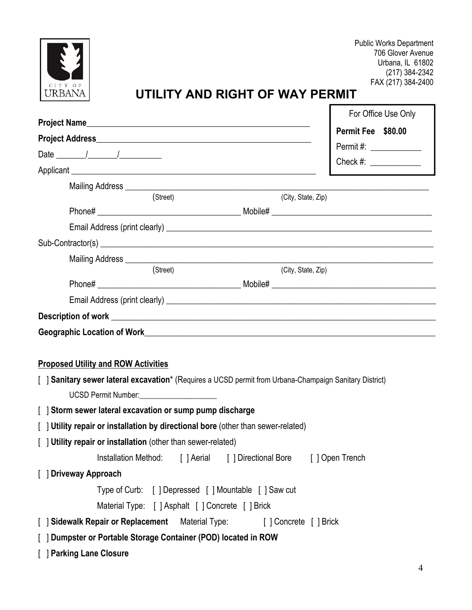

 Public Works Department 706 Glover Avenue Urbana, IL 61802 (217) 384-2342 FAX (217) 384-2400

# **UTILITY AND RIGHT OF WAY PERMIT**

|                                                                                                         | For Office Use Only                                                  |
|---------------------------------------------------------------------------------------------------------|----------------------------------------------------------------------|
|                                                                                                         | Permit Fee \$80.00                                                   |
|                                                                                                         | Permit#: _____________                                               |
|                                                                                                         | Check #: _____________                                               |
|                                                                                                         |                                                                      |
|                                                                                                         |                                                                      |
| (Street)                                                                                                | (City, State, Zip)                                                   |
|                                                                                                         |                                                                      |
|                                                                                                         |                                                                      |
|                                                                                                         |                                                                      |
| (Street)                                                                                                | (City, State, Zip)                                                   |
|                                                                                                         |                                                                      |
|                                                                                                         |                                                                      |
|                                                                                                         |                                                                      |
|                                                                                                         |                                                                      |
|                                                                                                         |                                                                      |
|                                                                                                         |                                                                      |
| <b>Proposed Utility and ROW Activities</b>                                                              |                                                                      |
| [ ] Sanitary sewer lateral excavation* (Requires a UCSD permit from Urbana-Champaign Sanitary District) |                                                                      |
| UCSD Permit Number: _______________________                                                             |                                                                      |
| [ ] Storm sewer lateral excavation or sump pump discharge                                               |                                                                      |
| [ ] Utility repair or installation by directional bore (other than sewer-related)                       |                                                                      |
| [ ] Utility repair or installation (other than sewer-related)                                           |                                                                      |
|                                                                                                         | Installation Method: [ ] Aerial [ ] Directional Bore [ ] Open Trench |
| [ ] Driveway Approach                                                                                   |                                                                      |
| Type of Curb: [] Depressed [] Mountable [] Saw cut                                                      |                                                                      |
| Material Type: [ ] Asphalt [ ] Concrete [ ] Brick                                                       |                                                                      |
| [ Sidewalk Repair or Replacement Material Type: [ ] Concrete [ ] Brick                                  |                                                                      |
| [ ] Dumpster or Portable Storage Container (POD) located in ROW                                         |                                                                      |
| <b>Parking Lane Closure</b>                                                                             |                                                                      |
|                                                                                                         |                                                                      |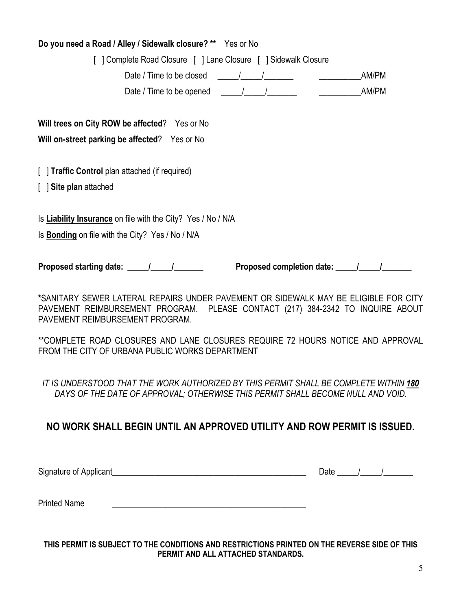## **Do you need a Road / Alley / Sidewalk closure? \*\*** Yes or No

| [ ] Complete Road Closure [ ] Lane Closure [ ] Sidewalk Closure                                       |       |
|-------------------------------------------------------------------------------------------------------|-------|
| Date / Time to be closed                                                                              | AM/PM |
| Date / Time to be opened $\frac{1}{\sqrt{1-\frac{1}{2}}}\left  \frac{1}{\sqrt{1-\frac{1}{2}}}\right $ | AM/PM |
| Will trees on City ROW be affected? Yes or No                                                         |       |
| Will on-street parking be affected? Yes or No                                                         |       |
| [ ] Traffic Control plan attached (if required)                                                       |       |
| [ ] Site plan attached                                                                                |       |
| Is <b>Liability Insurance</b> on file with the City? Yes / No / N/A                                   |       |
| Is <b>Bonding</b> on file with the City? Yes / No / N/A                                               |       |
|                                                                                                       |       |

**\***SANITARY SEWER LATERAL REPAIRS UNDER PAVEMENT OR SIDEWALK MAY BE ELIGIBLE FOR CITY PAVEMENT REIMBURSEMENT PROGRAM. PLEASE CONTACT (217) 384-2342 TO INQUIRE ABOUT PAVEMENT REIMBURSEMENT PROGRAM.

\*\*COMPLETE ROAD CLOSURES AND LANE CLOSURES REQUIRE 72 HOURS NOTICE AND APPROVAL FROM THE CITY OF URBANA PUBLIC WORKS DEPARTMENT

IT IS UNDERSTOOD THAT THE WORK AUTHORIZED BY THIS PERMIT SHALL BE COMPLETE WITHIN **180** DAYS OF THE DATE OF APPROVAL; OTHERWISE THIS PERMIT SHALL BECOME NULL AND VOID.

## **NO WORK SHALL BEGIN UNTIL AN APPROVED UTILITY AND ROW PERMIT IS ISSUED.**

Signature of Applicant\_\_\_\_\_\_\_\_\_\_\_\_\_\_\_\_\_\_\_\_\_\_\_\_\_\_\_\_\_\_\_\_\_\_\_\_\_\_\_\_\_\_\_\_\_\_ Date \_\_\_\_\_/\_\_\_\_\_/\_\_\_\_\_\_\_

Printed Name **Example 20** 

**THIS PERMIT IS SUBJECT TO THE CONDITIONS AND RESTRICTIONS PRINTED ON THE REVERSE SIDE OF THIS PERMIT AND ALL ATTACHED STANDARDS.**